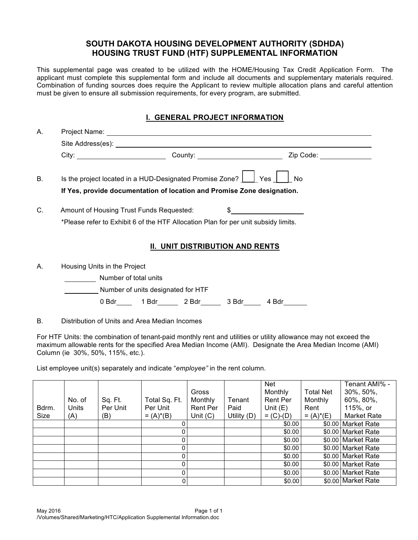## **SOUTH DAKOTA HOUSING DEVELOPMENT AUTHORITY (SDHDA) HOUSING TRUST FUND (HTF) SUPPLEMENTAL INFORMATION**

This supplemental page was created to be utilized with the HOME/Housing Tax Credit Application Form. The applicant must complete this supplemental form and include all documents and supplementary materials required. Combination of funding sources does require the Applicant to review multiple allocation plans and careful attention must be given to ensure all submission requirements, for every program, are submitted.

## **I. GENERAL PROJECT INFORMATION**

| Α. |                                                                                    |  |  |  |  |  |  |  |
|----|------------------------------------------------------------------------------------|--|--|--|--|--|--|--|
|    |                                                                                    |  |  |  |  |  |  |  |
|    | Zip Code:<br>County: __________________________                                    |  |  |  |  |  |  |  |
| В. | Is the project located in a HUD-Designated Promise Zone?     Yes    <br><b>No</b>  |  |  |  |  |  |  |  |
|    | If Yes, provide documentation of location and Promise Zone designation.            |  |  |  |  |  |  |  |
| C. | Amount of Housing Trust Funds Requested:                                           |  |  |  |  |  |  |  |
|    | *Please refer to Exhibit 6 of the HTF Allocation Plan for per unit subsidy limits. |  |  |  |  |  |  |  |
|    | <b>II. UNIT DISTRIBUTION AND RENTS</b>                                             |  |  |  |  |  |  |  |
| Α. | Housing Units in the Project                                                       |  |  |  |  |  |  |  |
|    | Number of total unite                                                              |  |  |  |  |  |  |  |

 Number of total units Number of units designated for HTF 0 Bdr 1 Bdr 2 Bdr 3 Bdr 4 Bdr

B. Distribution of Units and Area Median Incomes

For HTF Units: the combination of tenant-paid monthly rent and utilities or utility allowance may not exceed the maximum allowable rents for the specified Area Median Income (AMI). Designate the Area Median Income (AMI) Column (ie 30%, 50%, 115%, etc.).

List employee unit(s) separately and indicate "*employee"* in the rent column.

|       |        |          |               |                 |             | <b>Net</b>      |                  | Tenant AMI% -      |
|-------|--------|----------|---------------|-----------------|-------------|-----------------|------------------|--------------------|
|       |        |          |               | Gross           |             | Monthly         | <b>Total Net</b> | $30\%, 50\%,$      |
|       | No. of | Sq. Ft.  | Total Sq. Ft. | Monthly         | Tenant      | <b>Rent Per</b> | Monthly          | 60%, 80%,          |
| Bdrm. | Units  | Per Unit | Per Unit      | <b>Rent Per</b> | Paid        | Unit $(E)$      | Rent             | 115%, or           |
| Size  | (A)    | (B)      | $= (A)^*(B)$  | Unit $(C)$      | Utility (D) | $= (C)-(D)$     | $= (A)^*(E)$     | <b>Market Rate</b> |
|       |        |          |               |                 |             | \$0.00          |                  | \$0.00 Market Rate |
|       |        |          |               |                 |             | \$0.00          |                  | \$0.00 Market Rate |
|       |        |          |               |                 |             | \$0.00          |                  | \$0.00 Market Rate |
|       |        |          |               |                 |             | \$0.00          |                  | \$0.00 Market Rate |
|       |        |          |               |                 |             | \$0.00          |                  | \$0.00 Market Rate |
|       |        |          |               |                 |             | \$0.00          |                  | \$0.00 Market Rate |
|       |        |          |               |                 |             | \$0.00          |                  | \$0.00 Market Rate |
|       |        |          |               |                 |             | \$0.00          |                  | \$0.00 Market Rate |